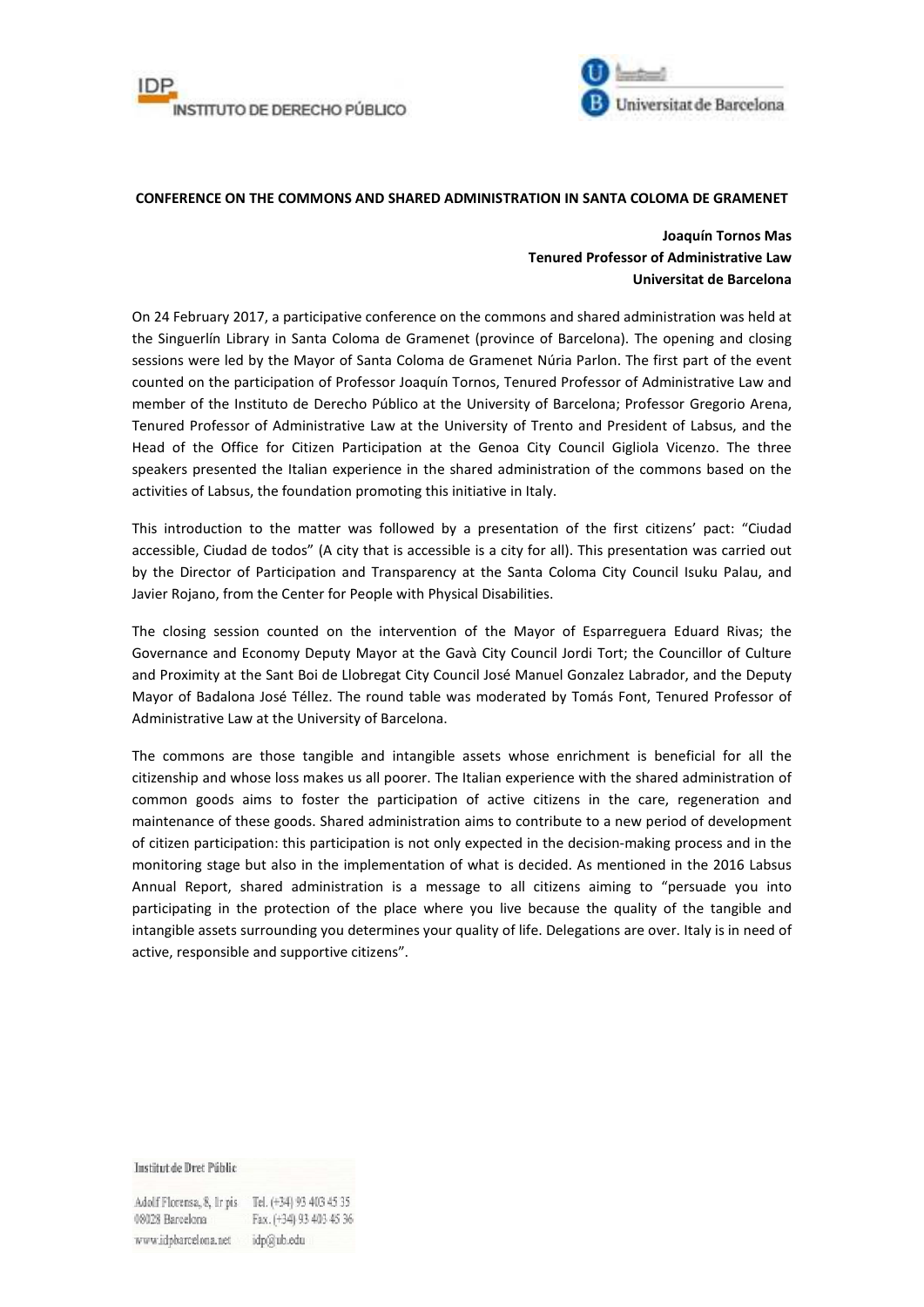



## **CONFERENCE ON THE COMMONS AND SHARED ADMINISTRATION IN SANTA COLOMA DE GRAMENET**

## **Joaquín Tornos Mas Tenured Professor of Administrative Law Universitat de Barcelona**

On 24 February 2017, a participative conference on the commons and shared administration was held at the Singuerlín Library in Santa Coloma de Gramenet (province of Barcelona). The opening and closing sessions were led by the Mayor of Santa Coloma de Gramenet Núria Parlon. The first part of the event counted on the participation of Professor Joaquín Tornos, Tenured Professor of Administrative Law and member of the Instituto de Derecho Público at the University of Barcelona; Professor Gregorio Arena, Tenured Professor of Administrative Law at the University of Trento and President of Labsus, and the Head of the Office for Citizen Participation at the Genoa City Council Gigliola Vicenzo. The three speakers presented the Italian experience in the shared administration of the commons based on the activities of Labsus, the foundation promoting this initiative in Italy.

This introduction to the matter was followed by a presentation of the first citizens' pact: "Ciudad accessible, Ciudad de todos" (A city that is accessible is a city for all). This presentation was carried out by the Director of Participation and Transparency at the Santa Coloma City Council Isuku Palau, and Javier Rojano, from the Center for People with Physical Disabilities.

The closing session counted on the intervention of the Mayor of Esparreguera Eduard Rivas; the Governance and Economy Deputy Mayor at the Gavà City Council Jordi Tort; the Councillor of Culture and Proximity at the Sant Boi de Llobregat City Council José Manuel Gonzalez Labrador, and the Deputy Mayor of Badalona José Téllez. The round table was moderated by Tomás Font, Tenured Professor of Administrative Law at the University of Barcelona.

The commons are those tangible and intangible assets whose enrichment is beneficial for all the citizenship and whose loss makes us all poorer. The Italian experience with the shared administration of common goods aims to foster the participation of active citizens in the care, regeneration and maintenance of these goods. Shared administration aims to contribute to a new period of development of citizen participation: this participation is not only expected in the decision-making process and in the monitoring stage but also in the implementation of what is decided. As mentioned in the 2016 Labsus Annual Report, shared administration is a message to all citizens aiming to "persuade you into participating in the protection of the place where you live because the quality of the tangible and intangible assets surrounding you determines your quality of life. Delegations are over. Italy is in need of active, responsible and supportive citizens".

Institut de Dret Públic

Adolf Florensa, 8, Ir pis Tel. (+34) 93 403 45 35 08028 Barcelona Fax. (+34) 93 403 45 36 www.idpbarcelona.net idp@ub.edu